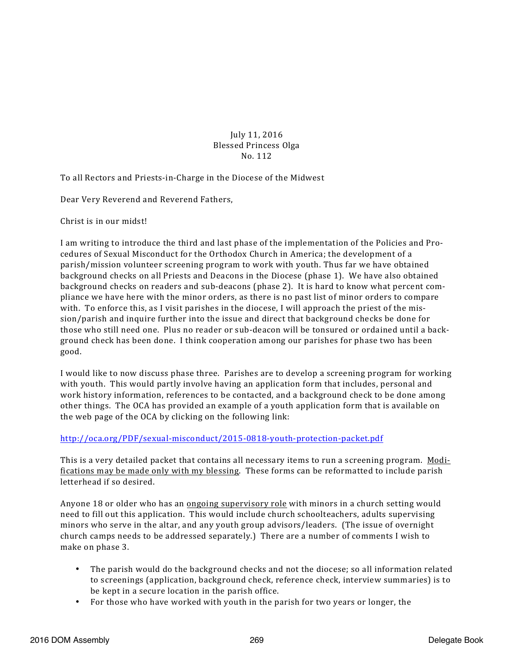July 11, 2016 Blessed Princess Olga No. 112

To all Rectors and Priests-in-Charge in the Diocese of the Midwest

Dear Very Reverend and Reverend Fathers,

Christ is in our midst!

I am writing to introduce the third and last phase of the implementation of the Policies and Procedures of Sexual Misconduct for the Orthodox Church in America; the development of a parish/mission volunteer screening program to work with youth. Thus far we have obtained background checks on all Priests and Deacons in the Diocese (phase 1). We have also obtained background checks on readers and sub-deacons (phase 2). It is hard to know what percent compliance we have here with the minor orders, as there is no past list of minor orders to compare with. To enforce this, as I visit parishes in the diocese, I will approach the priest of the mission/parish and inquire further into the issue and direct that background checks be done for those who still need one. Plus no reader or sub-deacon will be tonsured or ordained until a background check has been done. I think cooperation among our parishes for phase two has been good.

I would like to now discuss phase three. Parishes are to develop a screening program for working with youth. This would partly involve having an application form that includes, personal and work history information, references to be contacted, and a background check to be done among other things. The OCA has provided an example of a youth application form that is available on the web page of the OCA by clicking on the following link:

## http://oca.org/PDF/sexual-misconduct/2015-0818-youth-protection-packet.pdf

This is a very detailed packet that contains all necessary items to run a screening program. Modifications may be made only with my blessing. These forms can be reformatted to include parish letterhead if so desired.

Anyone 18 or older who has an ongoing supervisory role with minors in a church setting would need to fill out this application. This would include church schoolteachers, adults supervising minors who serve in the altar, and any youth group advisors/leaders. (The issue of overnight church camps needs to be addressed separately.) There are a number of comments I wish to make on phase 3.

- The parish would do the background checks and not the diocese; so all information related to screenings (application, background check, reference check, interview summaries) is to be kept in a secure location in the parish office.
- For those who have worked with youth in the parish for two years or longer, the